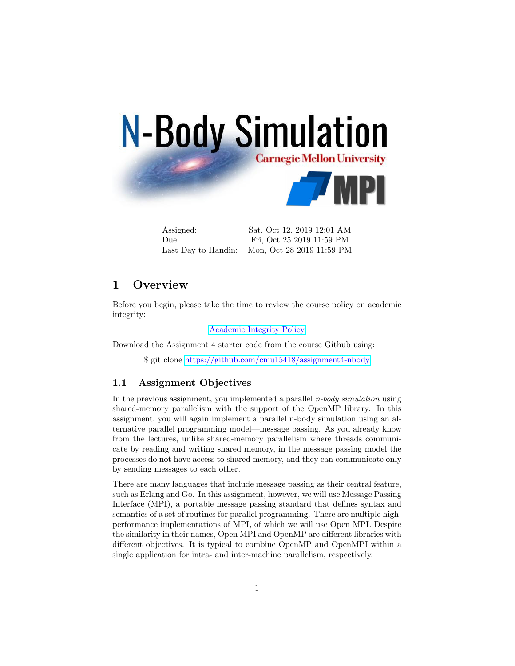

| Assigned:           | Sat, Oct 12, 2019 12:01 AM |
|---------------------|----------------------------|
| Due:                | Fri, Oct 25 2019 11:59 PM  |
| Last Day to Handin: | Mon, Oct 28 2019 11:59 PM  |

# 1 Overview

Before you begin, please take the time to review the course policy on academic integrity:

[Academic Integrity Policy](http://www.cs.cmu.edu/afs/cs.cmu.edu/academic/class/15418-s18/www/academicintegrity.html)

Download the Assignment 4 starter code from the course Github using:

\$ git clone <https://github.com/cmu15418/assignment4-nbody>

### 1.1 Assignment Objectives

In the previous assignment, you implemented a parallel *n-body simulation* using shared-memory parallelism with the support of the OpenMP library. In this assignment, you will again implement a parallel n-body simulation using an alternative parallel programming model—message passing. As you already know from the lectures, unlike shared-memory parallelism where threads communicate by reading and writing shared memory, in the message passing model the processes do not have access to shared memory, and they can communicate only by sending messages to each other.

There are many languages that include message passing as their central feature, such as Erlang and Go. In this assignment, however, we will use Message Passing Interface (MPI), a portable message passing standard that defines syntax and semantics of a set of routines for parallel programming. There are multiple highperformance implementations of MPI, of which we will use Open MPI. Despite the similarity in their names, Open MPI and OpenMP are different libraries with different objectives. It is typical to combine OpenMP and OpenMPI within a single application for intra- and inter-machine parallelism, respectively.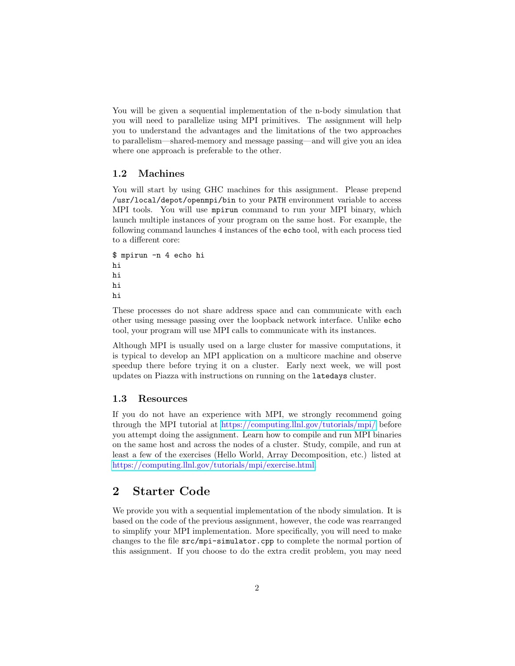You will be given a sequential implementation of the n-body simulation that you will need to parallelize using MPI primitives. The assignment will help you to understand the advantages and the limitations of the two approaches to parallelism—shared-memory and message passing—and will give you an idea where one approach is preferable to the other.

#### 1.2 Machines

You will start by using GHC machines for this assignment. Please prepend /usr/local/depot/openmpi/bin to your PATH environment variable to access MPI tools. You will use mpirun command to run your MPI binary, which launch multiple instances of your program on the same host. For example, the following command launches 4 instances of the echo tool, with each process tied to a different core:

```
$ mpirun -n 4 echo hi
hi
hi
hi
hi
```
These processes do not share address space and can communicate with each other using message passing over the loopback network interface. Unlike echo tool, your program will use MPI calls to communicate with its instances.

Although MPI is usually used on a large cluster for massive computations, it is typical to develop an MPI application on a multicore machine and observe speedup there before trying it on a cluster. Early next week, we will post updates on Piazza with instructions on running on the latedays cluster.

#### 1.3 Resources

If you do not have an experience with MPI, we strongly recommend going through the MPI tutorial at <https://computing.llnl.gov/tutorials/mpi/> before you attempt doing the assignment. Learn how to compile and run MPI binaries on the same host and across the nodes of a cluster. Study, compile, and run at least a few of the exercises (Hello World, Array Decomposition, etc.) listed at [https://computing.llnl.gov/tutorials/mpi/exercise.html.](https://computing.llnl.gov/tutorials/mpi/exercise.html)

## 2 Starter Code

We provide you with a sequential implementation of the nbody simulation. It is based on the code of the previous assignment, however, the code was rearranged to simplify your MPI implementation. More specifically, you will need to make changes to the file src/mpi-simulator.cpp to complete the normal portion of this assignment. If you choose to do the extra credit problem, you may need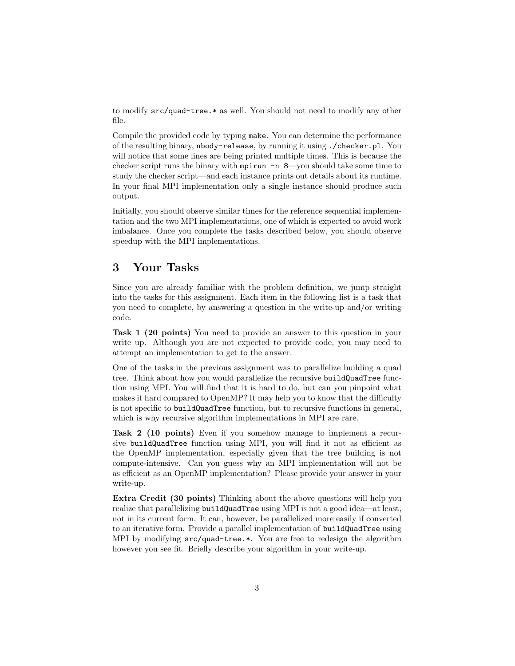to modify src/quad-tree.\* as well. You should not need to modify any other file.

Compile the provided code by typing make. You can determine the performance of the resulting binary, nbody-release, by running it using ./checker.pl. You will notice that some lines are being printed multiple times. This is because the checker script runs the binary with  $mpirun -n 8$ —you should take some time to study the checker script—and each instance prints out details about its runtime. In your final MPI implementation only a single instance should produce such output.

Initially, you should observe similar times for the reference sequential implementation and the two MPI implementations, one of which is expected to avoid work imbalance. Once you complete the tasks described below, you should observe speedup with the MPI implementations.

# 3 Your Tasks

Since you are already familiar with the problem definition, we jump straight into the tasks for this assignment. Each item in the following list is a task that you need to complete, by answering a question in the write-up and/or writing code.

Task 1 (20 points) You need to provide an answer to this question in your write up. Although you are not expected to provide code, you may need to attempt an implementation to get to the answer.

One of the tasks in the previous assignment was to parallelize building a quad tree. Think about how you would parallelize the recursive buildQuadTree function using MPI. You will find that it is hard to do, but can you pinpoint what makes it hard compared to OpenMP? It may help you to know that the difficulty is not specific to buildQuadTree function, but to recursive functions in general, which is why recursive algorithm implementations in MPI are rare.

Task 2 (10 points) Even if you somehow manage to implement a recursive buildQuadTree function using MPI, you will find it not as efficient as the OpenMP implementation, especially given that the tree building is not compute-intensive. Can you guess why an MPI implementation will not be as efficient as an OpenMP implementation? Please provide your answer in your write-up.

Extra Credit (30 points) Thinking about the above questions will help you realize that parallelizing buildQuadTree using MPI is not a good idea—at least, not in its current form. It can, however, be parallelized more easily if converted to an iterative form. Provide a parallel implementation of buildQuadTree using MPI by modifying src/quad-tree.\*. You are free to redesign the algorithm however you see fit. Briefly describe your algorithm in your write-up.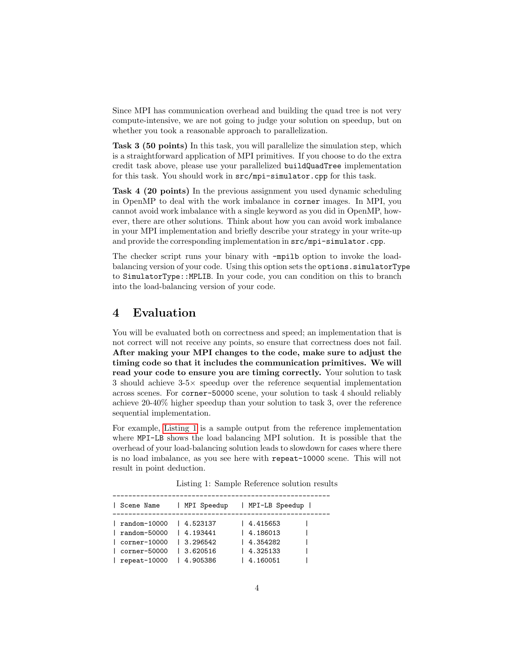Since MPI has communication overhead and building the quad tree is not very compute-intensive, we are not going to judge your solution on speedup, but on whether you took a reasonable approach to parallelization.

Task 3 (50 points) In this task, you will parallelize the simulation step, which is a straightforward application of MPI primitives. If you choose to do the extra credit task above, please use your parallelized buildQuadTree implementation for this task. You should work in src/mpi-simulator.cpp for this task.

Task 4 (20 points) In the previous assignment you used dynamic scheduling in OpenMP to deal with the work imbalance in corner images. In MPI, you cannot avoid work imbalance with a single keyword as you did in OpenMP, however, there are other solutions. Think about how you can avoid work imbalance in your MPI implementation and briefly describe your strategy in your write-up and provide the corresponding implementation in src/mpi-simulator.cpp.

The checker script runs your binary with -mpilb option to invoke the loadbalancing version of your code. Using this option sets the options.simulatorType to SimulatorType::MPLIB. In your code, you can condition on this to branch into the load-balancing version of your code.

## 4 Evaluation

You will be evaluated both on correctness and speed; an implementation that is not correct will not receive any points, so ensure that correctness does not fail. After making your MPI changes to the code, make sure to adjust the timing code so that it includes the communication primitives. We will read your code to ensure you are timing correctly. Your solution to task 3 should achieve 3-5× speedup over the reference sequential implementation across scenes. For corner-50000 scene, your solution to task 4 should reliably achieve 20-40% higher speedup than your solution to task 3, over the reference sequential implementation.

For example, [Listing 1](#page-3-0) is a sample output from the reference implementation where MPI-LB shows the load balancing MPI solution. It is possible that the overhead of your load-balancing solution leads to slowdown for cases where there is no load imbalance, as you see here with repeat-10000 scene. This will not result in point deduction.

|  |  | Listing 1: Sample Reference solution results |  |  |
|--|--|----------------------------------------------|--|--|
|--|--|----------------------------------------------|--|--|

<span id="page-3-0"></span>

| Scene Name      | MPI Speedup | MPI-LB Speedup |  |
|-----------------|-------------|----------------|--|
| random-10000    | 14.523137   | 4.415653       |  |
| random-50000    | 14.193441   | 14.186013      |  |
| $corr-10000$    | 13.296542   | 14.354282      |  |
| $corrner-50000$ | 13.620516   | 14.325133      |  |
| repeat-10000    | 4.905386    | 4.160051       |  |